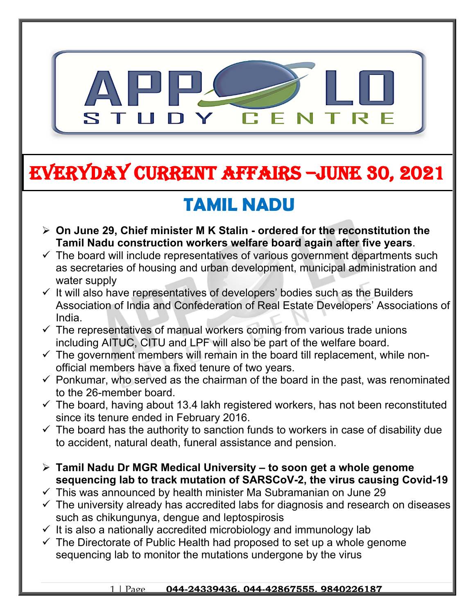

# **EVERYDAY CURRENT AFFAIRS –jUNE 30, 2021**

**-**

## **TAMIL NADU**

- **On June 29, Chief minister M K Stalin ordered for the reconstitution the Tamil Nadu construction workers welfare board again after five years**.
- $\checkmark$  The board will include representatives of various government departments such as secretaries of housing and urban development, municipal administration and water supply
- $\checkmark$  It will also have representatives of developers' bodies such as the Builders Association of India and Confederation of Real Estate Developers' Associations of India.
- $\checkmark$  The representatives of manual workers coming from various trade unions including AITUC, CITU and LPF will also be part of the welfare board.
- $\checkmark$  The government members will remain in the board till replacement, while nonofficial members have a fixed tenure of two years.
- $\checkmark$  Ponkumar, who served as the chairman of the board in the past, was renominated to the 26-member board.
- $\checkmark$  The board, having about 13.4 lakh registered workers, has not been reconstituted since its tenure ended in February 2016.
- $\checkmark$  The board has the authority to sanction funds to workers in case of disability due to accident, natural death, funeral assistance and pension.
- **Tamil Nadu Dr MGR Medical University to soon get a whole genome sequencing lab to track mutation of SARSCoV-2, the virus causing Covid-19**
- $\checkmark$  This was announced by health minister Ma Subramanian on June 29
- $\checkmark$  The university already has accredited labs for diagnosis and research on diseases such as chikungunya, dengue and leptospirosis
- $\checkmark$  It is also a nationally accredited microbiology and immunology lab
- $\checkmark$  The Directorate of Public Health had proposed to set up a whole genome sequencing lab to monitor the mutations undergone by the virus

#### 1 | Page **044-24339436, 044-42867555, 9840226187**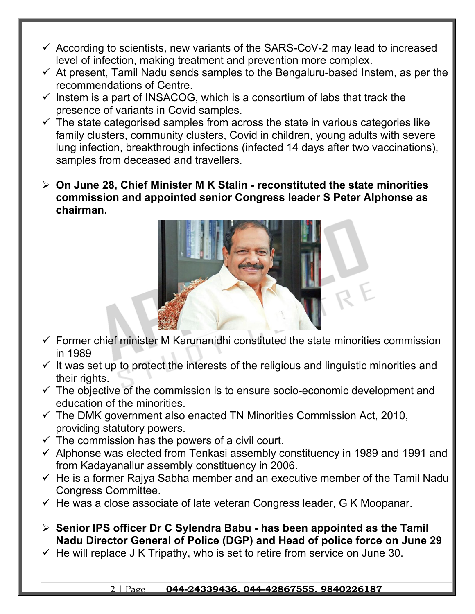- $\checkmark$  According to scientists, new variants of the SARS-CoV-2 may lead to increased level of infection, making treatment and prevention more complex.
- $\checkmark$  At present, Tamil Nadu sends samples to the Bengaluru-based Instem, as per the recommendations of Centre.
- $\checkmark$  Instem is a part of INSACOG, which is a consortium of labs that track the presence of variants in Covid samples.
- $\checkmark$  The state categorised samples from across the state in various categories like family clusters, community clusters, Covid in children, young adults with severe lung infection, breakthrough infections (infected 14 days after two vaccinations), samples from deceased and travellers.
- **On June 28, Chief Minister M K Stalin reconstituted the state minorities commission and appointed senior Congress leader S Peter Alphonse as chairman.**



- $\checkmark$  Former chief minister M Karunanidhi constituted the state minorities commission in 1989
- $\checkmark$  It was set up to protect the interests of the religious and linguistic minorities and their rights.
- $\checkmark$  The objective of the commission is to ensure socio-economic development and education of the minorities.
- $\checkmark$  The DMK government also enacted TN Minorities Commission Act, 2010, providing statutory powers.
- $\checkmark$  The commission has the powers of a civil court.
- $\checkmark$  Alphonse was elected from Tenkasi assembly constituency in 1989 and 1991 and from Kadayanallur assembly constituency in 2006.
- $\checkmark$  He is a former Rajya Sabha member and an executive member of the Tamil Nadu Congress Committee.
- $\checkmark$  He was a close associate of late veteran Congress leader, G K Moopanar.
- **Senior IPS officer Dr C Sylendra Babu has been appointed as the Tamil Nadu Director General of Police (DGP) and Head of police force on June 29**
- $\checkmark$  He will replace J K Tripathy, who is set to retire from service on June 30.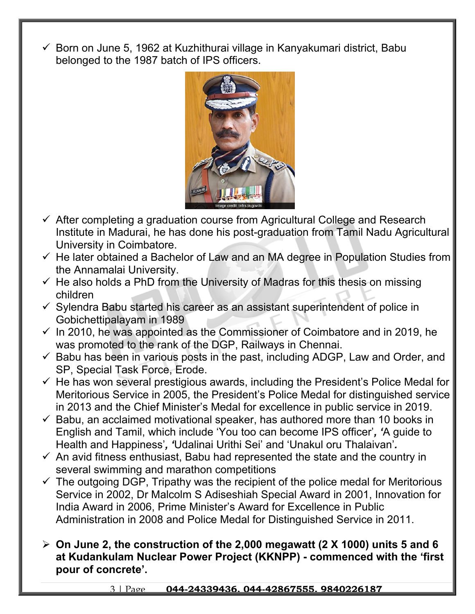Born on June 5, 1962 at Kuzhithurai village in Kanyakumari district, Babu belonged to the 1987 batch of IPS officers.



- $\checkmark$  After completing a graduation course from Agricultural College and Research Institute in Madurai, he has done his post-graduation from Tamil Nadu Agricultural University in Coimbatore.
- $\checkmark$  He later obtained a Bachelor of Law and an MA degree in Population Studies from the Annamalai University.
- $\checkmark$  He also holds a PhD from the University of Madras for this thesis on missing children
- $\checkmark$  Sylendra Babu started his career as an assistant superintendent of police in Gobichettipalayam in 1989
- $\checkmark$  In 2010, he was appointed as the Commissioner of Coimbatore and in 2019, he was promoted to the rank of the DGP, Railways in Chennai.
- $\checkmark$  Babu has been in various posts in the past, including ADGP, Law and Order, and SP, Special Task Force, Erode.
- $\checkmark$  He has won several prestigious awards, including the President's Police Medal for Meritorious Service in 2005, the President's Police Medal for distinguished service in 2013 and the Chief Minister's Medal for excellence in public service in 2019.
- $\checkmark$  Babu, an acclaimed motivational speaker, has authored more than 10 books in English and Tamil, which include 'You too can become IPS officer'*, '*A guide to Health and Happiness'*, '*Udalinai Urithi Sei' and 'Unakul oru Thalaivan'*.*
- $\checkmark$  An avid fitness enthusiast, Babu had represented the state and the country in several swimming and marathon competitions
- $\checkmark$  The outgoing DGP, Tripathy was the recipient of the police medal for Meritorious Service in 2002, Dr Malcolm S Adiseshiah Special Award in 2001, Innovation for India Award in 2006, Prime Minister's Award for Excellence in Public Administration in 2008 and Police Medal for Distinguished Service in 2011.
- **On June 2, the construction of the 2,000 megawatt (2 X 1000) units 5 and 6 at Kudankulam Nuclear Power Project (KKNPP) - commenced with the 'first pour of concrete'.**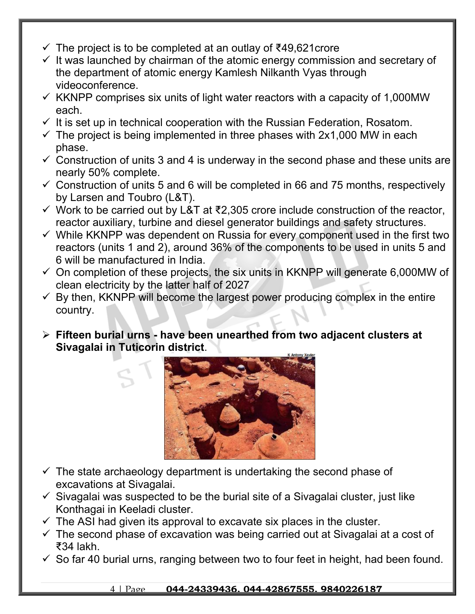- $\checkmark$  The project is to be completed at an outlay of  $\checkmark$ 49,621 crore
- $\checkmark$  It was launched by chairman of the atomic energy commission and secretary of the department of atomic energy Kamlesh Nilkanth Vyas through videoconference.
- $\checkmark$  KKNPP comprises six units of light water reactors with a capacity of 1,000MW each.
- $\checkmark$  It is set up in technical cooperation with the Russian Federation, Rosatom.
- $\checkmark$  The project is being implemented in three phases with 2x1,000 MW in each phase.
- $\checkmark$  Construction of units 3 and 4 is underway in the second phase and these units are nearly 50% complete.
- $\checkmark$  Construction of units 5 and 6 will be completed in 66 and 75 months, respectively by Larsen and Toubro (L&T).
- Work to be carried out by L&T at ₹2,305 crore include construction of the reactor, reactor auxiliary, turbine and diesel generator buildings and safety structures.
- $\checkmark$  While KKNPP was dependent on Russia for every component used in the first two reactors (units 1 and 2), around 36% of the components to be used in units 5 and 6 will be manufactured in India.
- $\checkmark$  On completion of these projects, the six units in KKNPP will generate 6,000MW of clean electricity by the latter half of 2027
- $\checkmark$  By then, KKNPP will become the largest power producing complex in the entire country.
- **Fifteen burial urns have been unearthed from two adjacent clusters at Sivagalai in Tuticorin district**.



- $\checkmark$  The state archaeology department is undertaking the second phase of excavations at Sivagalai.
- $\checkmark$  Sivagalai was suspected to be the burial site of a Sivagalai cluster, just like Konthagai in Keeladi cluster.
- $\checkmark$  The ASI had given its approval to excavate six places in the cluster.
- $\checkmark$  The second phase of excavation was being carried out at Sivagalai at a cost of ₹34 lakh.
- $\checkmark$  So far 40 burial urns, ranging between two to four feet in height, had been found.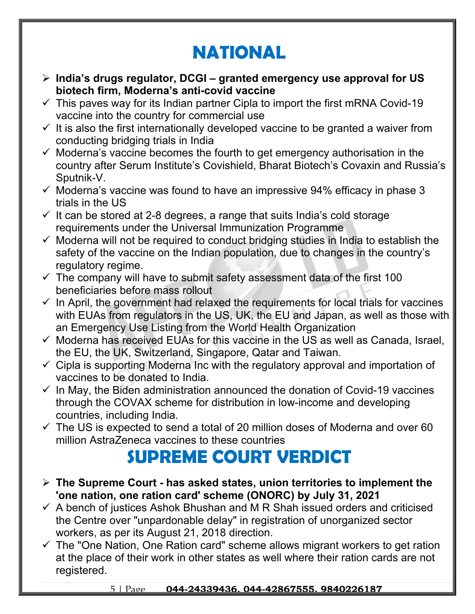## **NATIONAL**

- **India's drugs regulator, DCGI granted emergency use approval for US biotech firm, Moderna's anti-covid vaccine**
- $\checkmark$  This paves way for its Indian partner Cipla to import the first mRNA Covid-19 vaccine into the country for commercial use
- $\checkmark$  It is also the first internationally developed vaccine to be granted a waiver from conducting bridging trials in India
- $\checkmark$  Moderna's vaccine becomes the fourth to get emergency authorisation in the country after Serum Institute's Covishield, Bharat Biotech's Covaxin and Russia's Sputnik-V.
- $\checkmark$  Moderna's vaccine was found to have an impressive 94% efficacy in phase 3 trials in the US
- $\checkmark$  It can be stored at 2-8 degrees, a range that suits India's cold storage requirements under the Universal Immunization Programme
- $\checkmark$  Moderna will not be required to conduct bridging studies in India to establish the safety of the vaccine on the Indian population, due to changes in the country's regulatory regime.
- $\checkmark$  The company will have to submit safety assessment data of the first 100 beneficiaries before mass rollout
- $\checkmark$  In April, the government had relaxed the requirements for local trials for vaccines with EUAs from regulators in the US, UK, the EU and Japan, as well as those with an Emergency Use Listing from the World Health Organization
- $\checkmark$  Moderna has received EUAs for this vaccine in the US as well as Canada, Israel, the EU, the UK, Switzerland, Singapore, Qatar and Taiwan.
- $\checkmark$  Cipla is supporting Moderna Inc with the regulatory approval and importation of vaccines to be donated to India.
- $\checkmark$  In May, the Biden administration announced the donation of Covid-19 vaccines through the COVAX scheme for distribution in low-income and developing countries, including India.
- $\checkmark$  The US is expected to send a total of 20 million doses of Moderna and over 60 million AstraZeneca vaccines to these countries

## **SUPREME COURT VERDICT**

- **The Supreme Court has asked states, union territories to implement the 'one nation, one ration card' scheme (ONORC) by July 31, 2021**
- $\checkmark$  A bench of justices Ashok Bhushan and M R Shah issued orders and criticised the Centre over "unpardonable delay" in registration of unorganized sector workers, as per its August 21, 2018 direction.
- $\checkmark$  The "One Nation, One Ration card" scheme allows migrant workers to get ration at the place of their work in other states as well where their ration cards are not registered.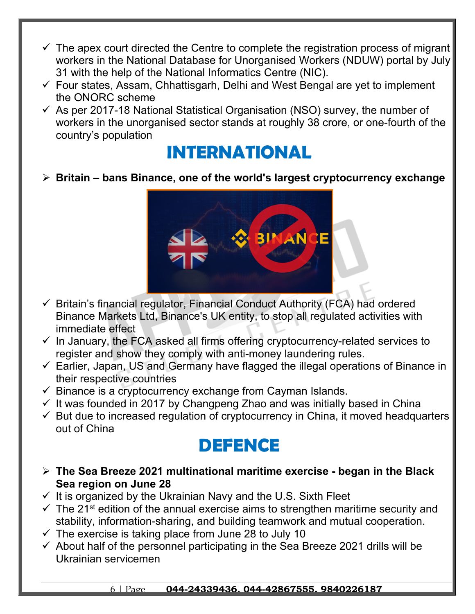- $\checkmark$  The apex court directed the Centre to complete the registration process of migrant workers in the National Database for Unorganised Workers (NDUW) portal by July 31 with the help of the National Informatics Centre (NIC).
- $\checkmark$  Four states, Assam, Chhattisgarh, Delhi and West Bengal are yet to implement the ONORC scheme
- $\checkmark$  As per 2017-18 National Statistical Organisation (NSO) survey, the number of workers in the unorganised sector stands at roughly 38 crore, or one-fourth of the country's population

#### **INTERNATIONAL**

**Britain – bans Binance, one of the world's largest cryptocurrency exchange** 



- $\checkmark$  Britain's financial regulator, Financial Conduct Authority (FCA) had ordered Binance Markets Ltd, Binance's UK entity, to stop all regulated activities with immediate effect
- $\checkmark$  In January, the FCA asked all firms offering cryptocurrency-related services to register and show they comply with anti-money laundering rules.
- $\checkmark$  Earlier, Japan, US and Germany have flagged the illegal operations of Binance in their respective countries
- $\checkmark$  Binance is a cryptocurrency exchange from Cayman Islands.
- $\checkmark$  It was founded in 2017 by Changpeng Zhao and was initially based in China
- $\checkmark$  But due to increased regulation of cryptocurrency in China, it moved headquarters out of China

### **DEFENCE**

- **The Sea Breeze 2021 multinational maritime exercise began in the Black Sea region on June 28**
- $\checkmark$  It is organized by the Ukrainian Navy and the U.S. Sixth Fleet
- $\checkmark$  The 21<sup>st</sup> edition of the annual exercise aims to strengthen maritime security and stability, information-sharing, and building teamwork and mutual cooperation.
- $\checkmark$  The exercise is taking place from June 28 to July 10
- $\checkmark$  About half of the personnel participating in the Sea Breeze 2021 drills will be Ukrainian servicemen